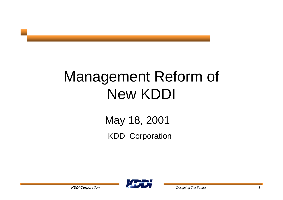May 18, 2001 KDDI Corporation

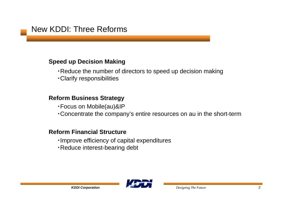### New KDDI: Three Reforms

### **Speed up Decision Making**

- ・Reduce the number of directors to speed up decision making
- ・Clarify responsibilities

### **Reform Business Strategy**

- ・Focus on Mobile(au)&IP
- ・Concentrate the company's entire resources on au in the short-term

### **Reform Financial Structure**

- ・Improve efficiency of capital expenditures
- ・Reduce interest-bearing debt

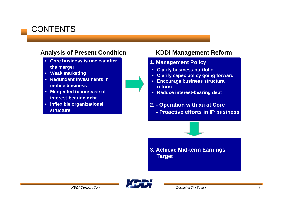# **CONTENTS**

### **Analysis of Present Condition**

- **Core business is unclear afterthe merger**
- **Weak marketing**
- **Redundant investments inmobile business**
- **Merger led to increase of interest-bearing debt**
- **Inflexible organizational structure**

### **KDDI Management Reform**

- **1. Management Policy**
	- **Clarify business portfolio**
	- **Clarify capex policy going forward**
- **Encourage business structural reform**
- **Reduce interest-bearing debt**
- **2. Operation with au at Core**
	- **Proactive efforts in IP business**



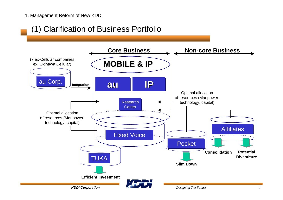# (1) Clarification of Business Portfolio

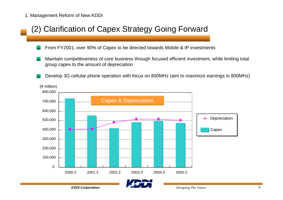### (2) Clarification of Capex Strategy Going Forward

- From FY2001, over 90% of Capex to be directed towards Mobile & IP investments
- Maintain competitiveness of core business through focused efficient investment, while limiting total group capex to the amount of depreciation
- Develop 3G cellular phone operation with focus on 800MHz (aim to maximize earnings in 800MHz)

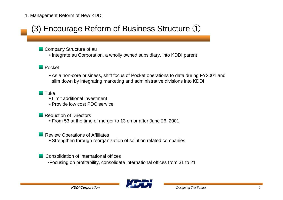# (3) Encourage Reform of Business Structure ①

- Company Structure of au
	- Integrate au Corporation, a wholly owned subsidiary, into KDDI parent
- Pocket
	- As a non-core business, shift focus of Pocket operations to data during FY2001 and slim down by integrating marketing and administrative divisions into KDDI
- Tuka
	- Limit additional investment
	- Provide low cost PDC service
- Reduction of Directors
	- From 53 at the time of merger to 13 on or after June 26, 2001
- Review Operations of Affiliates
	- Strengthen through reorganization of solution related companies
- Consolidation of international offices
	- ・Focusing on profitability, consolidate international offices from 31 to 21

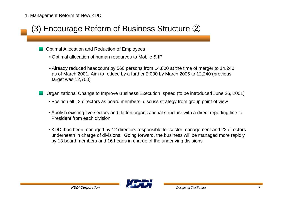# (3) Encourage Reform of Business Structure ②

- Optimal Allocation and Reduction of Employees
	- Optimal allocation of human resources to Mobile & IP
	- Already reduced headcount by 560 persons from 14,800 at the time of merger to 14,240 as of March 2001. Aim to reduce by a further 2,000 by March 2005 to 12,240 (previous target was 12,700)
- Organizational Change to Improve Business Execution speed (to be introduced June 26, 2001)
	- Position all 13 directors as board members, discuss strategy from group point of view
	- Abolish existing five sectors and flatten organizational structure with a direct reporting line to President from each division
	- KDDI has been managed by 12 directors responsible for sector management and 22 directors underneath in charge of divisions. Going forward, the business will be managed more rapidly by 13 board members and 16 heads in charge of the underlying divisions

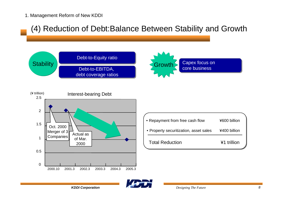### (4) Reduction of Debt:Balance Between Stability and Growth







| • Repayment from free cash flow        | ¥600 billion |  |
|----------------------------------------|--------------|--|
| • Property securitization, asset sales | ¥400 billion |  |
| <b>Total Reduction</b>                 | ¥1 trillion  |  |

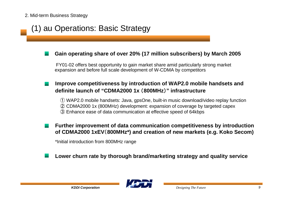# (1) au Operations: Basic Strategy

#### **Gain operating share of over 20% (17 million subscribers) by March 2005**

 FY01-02 offers best opportunity to gain market share amid particularly strong market expansion and before full scale development of W-CDMA by competitors

### **Improve competitiveness by introduction of WAP2.0 mobile handsets and definite launch of "CDMA2000 1x** (**800MHz**)**" infrastructure**

① WAP2.0 mobile handsets: Java, gpsOne, built-in music download/video replay function

- ② CDMA2000 1x (800MHz) development: expansion of coverage by targeted capex
- ③ Enhance ease of data communication at effective speed of 64kbps

**Further improvement of data communication competitiveness by introduction of CDMA2000 1xEV**(**800MHz\*) and creation of new markets (e.g. Koko Secom)**

\*Initial introduction from 800MHz range

**Lower churn rate by thorough brand/marketing strategy and quality service**

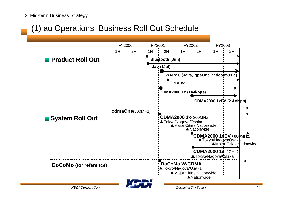# (1) au Operations: Business Roll Out Schedule

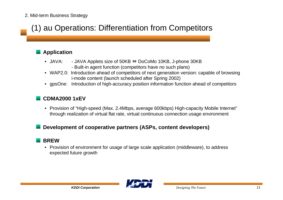# (1) au Operations: Differentiation from Competitors

### **Application**

- JAVA: JAVA: - JAVA Applets size of 50KB ⇔ DoCoMo 10KB, J-phone 30KB - Built-in agent function (competitors have no such plans)
- WAP2.0: Introduction ahead of competitors of next generation version: capable of browsing i-mode content (launch scheduled after Spring 2002)
- gpsOne: Introduction of high-accuracy position information function ahead of competitors

#### **CDMA2000 1xEV**

• Provision of "High-speed (Max. 2.4Mbps, average 600kbps) High-capacity Mobile Internet" through realization of virtual flat rate, virtual continuous connection usage environment

#### **Development of cooperative partners (ASPs, content developers)**

#### **BREW**

• Provision of environment for usage of large scale application (middleware), to address expected future growth

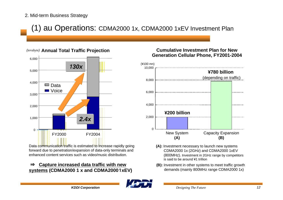# (1) au Operations: CDMA2000 1x, CDMA2000 1xEV Investment Plan

#### *(terabyte)* **Annual Total Traffic Projection**



Data communication traffic is estimated to increase rapidly going forward due to penetration/expansion of data-only terminals and enhanced content services such as video/music distribution.

#### ⇒ **Capture increased data traffic with new systems (CDMA2000 1 x and CDMA2000**1**xEV)**

#### **Cumulative Investment Plan for NewGeneration Cellular Phone, FY2001-2004**



- **(A):** Investment necessary to launch new systems CDMA2000 1x (2GHz) and CDMA2000 1xEV (800MHz). Investment in 2GHz range by competitors is said to be around ¥1 trillion
- **(B):** Investment in other systems to meet traffic growth demands (mainly 800MHz range CDMA2000 1x)

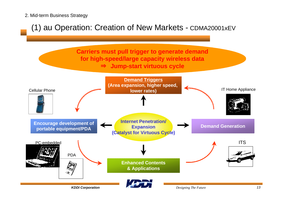## (1) au Operation: Creation of New Markets - CDMA20001xEV

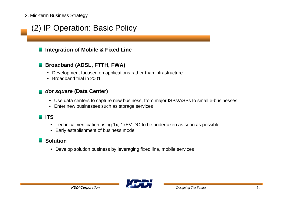# (2) IP Operation: Basic Policy

### **Integration of Mobile & Fixed Line**

### **Broadband (ADSL, FTTH, FWA)**

- Development focused on applications rather than infrastructure
- Broadband trial in 2001

#### *dot square* **(Data Center)**

- Use data centers to capture new business, from major ISPs/ASPs to small e-businesses
- Enter new businesses such as storage services

### **ITS**

- Technical verification using 1x, 1xEV-DO to be undertaken as soon as possible
- Early establishment of business model

### **Solution**

• Develop solution business by leveraging fixed line, mobile services

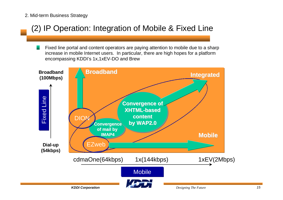# (2) IP Operation: Integration of Mobile & Fixed Line

Fixed line portal and content operators are paying attention to mobile due to a sharp increase in mobile Internet users. In particular, there are high hopes for a platform encompassing KDDI's 1x,1xEV-DO and Brew

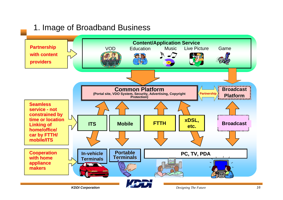### 1. Image of Broadband Business

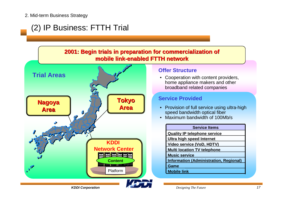# (2) IP Business: FTTH Trial





#### **Offer Structure**

 $\bullet$  Cooperation with content providers, home appliance makers and other broadband related companies

#### **Service Provided**

- Provision of full service using ultra-high speed bandwidth optical fiber
- Maximum bandwidth of 100Mb/s

| <b>Service Items</b>                          |
|-----------------------------------------------|
| <b>Quality IP telephone service</b>           |
| <b>Ultra high speed Internet</b>              |
| <b>Video service (VoD, HDTV)</b>              |
| <b>Multi location TV telephone</b>            |
| <b>Music service</b>                          |
| <b>Information (Administration, Regional)</b> |
| Game                                          |
| <b>Mobile link</b>                            |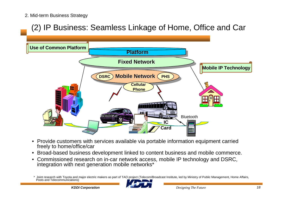# (2) IP Business: Seamless Linkage of Home, Office and Car



- $\bullet$  Provide customers with services available via portable information equipment carried freely to home/office/car
- •Broad-based business development linked to content business and mobile commerce.
- • Commissioned research on in-car network access, mobile IP technology and DSRC, integration with next generation mobile networks\*

Joint research with Toyota and major electric makers as part of TAO project (Telecom/Broadcast Institute, led by Ministry of Public Management, Home Affairs, Posts and Telecommunications)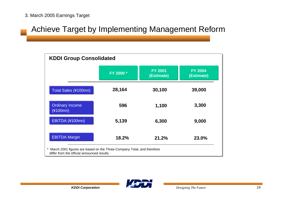### Achieve Target by Implementing Management Reform

| <b>KDDI Group Consolidated</b>                                                                                         |           |                              |                              |  |  |
|------------------------------------------------------------------------------------------------------------------------|-----------|------------------------------|------------------------------|--|--|
|                                                                                                                        | FY 2000 * | <b>FY 2001</b><br>(Estimate) | <b>FY 2004</b><br>(Estimate) |  |  |
| Total Sales (¥100mn)                                                                                                   | 28,164    | 30,100                       | 39,000                       |  |  |
| <b>Ordinary Income</b><br>(¥100mn)                                                                                     | 596       | 1,100                        | 3,300                        |  |  |
| EBITDA (¥100mn)                                                                                                        | 5,139     | 6,300                        | 9,000                        |  |  |
| <b>EBITDA Margin</b>                                                                                                   | 18.2%     | 21.2%                        | 23.0%                        |  |  |
| * March 2001 figures are based on the Three-Company Total, and therefore<br>differ from the official announced results |           |                              |                              |  |  |